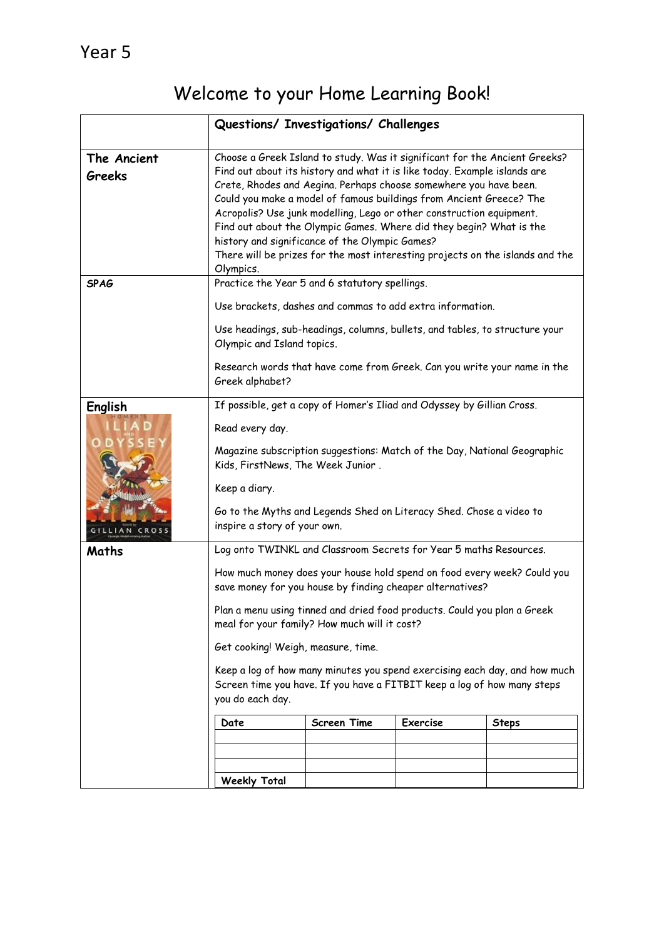## Welcome to your Home Learning Book!

|                              | Questions/ Investigations/ Challenges                                                                                                                                                                                                                                                                                                                                                                                                                                                                                                                                                              |                                                                          |                 |              |
|------------------------------|----------------------------------------------------------------------------------------------------------------------------------------------------------------------------------------------------------------------------------------------------------------------------------------------------------------------------------------------------------------------------------------------------------------------------------------------------------------------------------------------------------------------------------------------------------------------------------------------------|--------------------------------------------------------------------------|-----------------|--------------|
| The Ancient<br><b>Greeks</b> | Choose a Greek Island to study. Was it significant for the Ancient Greeks?<br>Find out about its history and what it is like today. Example islands are<br>Crete, Rhodes and Aegina. Perhaps choose somewhere you have been.<br>Could you make a model of famous buildings from Ancient Greece? The<br>Acropolis? Use junk modelling, Lego or other construction equipment.<br>Find out about the Olympic Games. Where did they begin? What is the<br>history and significance of the Olympic Games?<br>There will be prizes for the most interesting projects on the islands and the<br>Olympics. |                                                                          |                 |              |
| <b>SPAG</b>                  | Practice the Year 5 and 6 statutory spellings.                                                                                                                                                                                                                                                                                                                                                                                                                                                                                                                                                     |                                                                          |                 |              |
|                              | Use brackets, dashes and commas to add extra information.                                                                                                                                                                                                                                                                                                                                                                                                                                                                                                                                          |                                                                          |                 |              |
|                              | Use headings, sub-headings, columns, bullets, and tables, to structure your<br>Olympic and Island topics.                                                                                                                                                                                                                                                                                                                                                                                                                                                                                          |                                                                          |                 |              |
|                              | Greek alphabet?                                                                                                                                                                                                                                                                                                                                                                                                                                                                                                                                                                                    | Research words that have come from Greek. Can you write your name in the |                 |              |
| English                      | If possible, get a copy of Homer's Iliad and Odyssey by Gillian Cross.                                                                                                                                                                                                                                                                                                                                                                                                                                                                                                                             |                                                                          |                 |              |
|                              | Read every day.                                                                                                                                                                                                                                                                                                                                                                                                                                                                                                                                                                                    |                                                                          |                 |              |
|                              | Magazine subscription suggestions: Match of the Day, National Geographic<br>Kids, FirstNews, The Week Junior.                                                                                                                                                                                                                                                                                                                                                                                                                                                                                      |                                                                          |                 |              |
|                              | Keep a diary.                                                                                                                                                                                                                                                                                                                                                                                                                                                                                                                                                                                      |                                                                          |                 |              |
| GILLIAN CRO                  | Go to the Myths and Legends Shed on Literacy Shed. Chose a video to<br>inspire a story of your own.                                                                                                                                                                                                                                                                                                                                                                                                                                                                                                |                                                                          |                 |              |
| Maths                        | Log onto TWINKL and Classroom Secrets for Year 5 maths Resources.                                                                                                                                                                                                                                                                                                                                                                                                                                                                                                                                  |                                                                          |                 |              |
|                              | How much money does your house hold spend on food every week? Could you<br>save money for you house by finding cheaper alternatives?                                                                                                                                                                                                                                                                                                                                                                                                                                                               |                                                                          |                 |              |
|                              | Plan a menu using tinned and dried food products. Could you plan a Greek<br>meal for your family? How much will it cost?                                                                                                                                                                                                                                                                                                                                                                                                                                                                           |                                                                          |                 |              |
|                              | Get cooking! Weigh, measure, time.                                                                                                                                                                                                                                                                                                                                                                                                                                                                                                                                                                 |                                                                          |                 |              |
|                              | Keep a log of how many minutes you spend exercising each day, and how much<br>Screen time you have. If you have a FITBIT keep a log of how many steps<br>you do each day.                                                                                                                                                                                                                                                                                                                                                                                                                          |                                                                          |                 |              |
|                              | Date                                                                                                                                                                                                                                                                                                                                                                                                                                                                                                                                                                                               | <b>Screen Time</b>                                                       | <b>Exercise</b> | <b>Steps</b> |
|                              |                                                                                                                                                                                                                                                                                                                                                                                                                                                                                                                                                                                                    |                                                                          |                 |              |
|                              |                                                                                                                                                                                                                                                                                                                                                                                                                                                                                                                                                                                                    |                                                                          |                 |              |
|                              | <b>Weekly Total</b>                                                                                                                                                                                                                                                                                                                                                                                                                                                                                                                                                                                |                                                                          |                 |              |